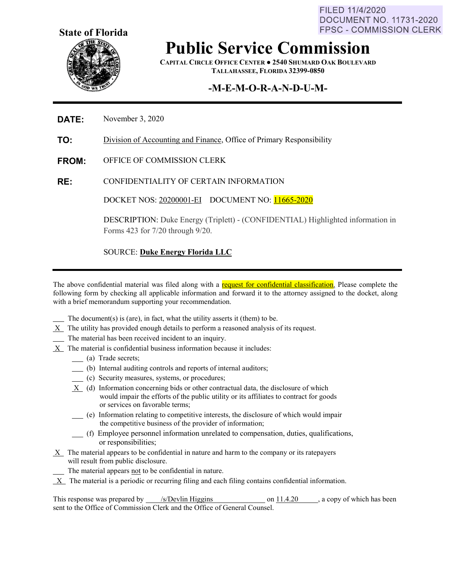FILED 11/4/2020 **DOCUMENT NO. 11731-2020 FPSC - COMMISSION CLERK** 



# **Public Service Commission**

**CAPITAL CIRCLE OFFICE CENTER ● 2540 SHUMARD OAK BOULEVARD TALLAHASSEE, FLORIDA 32399-0850**

# **-M-E-M-O-R-A-N-D-U-M-**

#### **DATE:** November 3, 2020

**TO:** Division of Accounting and Finance, Office of Primary Responsibility

- **FROM:** OFFICE OF COMMISSION CLERK
- **RE:** CONFIDENTIALITY OF CERTAIN INFORMATION

DOCKET NOS: 20200001-EI DOCUMENT NO: 11665-2020

DESCRIPTION: Duke Energy (Triplett) - (CONFIDENTIAL) Highlighted information in Forms 423 for 7/20 through 9/20.

#### SOURCE: **Duke Energy Florida LLC**

The above confidential material was filed along with a request for confidential classification. Please complete the following form by checking all applicable information and forward it to the attorney assigned to the docket, along with a brief memorandum supporting your recommendation.

- The document(s) is (are), in fact, what the utility asserts it (them) to be.
- $X$  The utility has provided enough details to perform a reasoned analysis of its request.
- The material has been received incident to an inquiry.
- $X$  The material is confidential business information because it includes:
	- (a) Trade secrets;
	- (b) Internal auditing controls and reports of internal auditors;
	- (c) Security measures, systems, or procedures;
	- $X$  (d) Information concerning bids or other contractual data, the disclosure of which would impair the efforts of the public utility or its affiliates to contract for goods or services on favorable terms;
	- (e) Information relating to competitive interests, the disclosure of which would impair the competitive business of the provider of information;
	- (f) Employee personnel information unrelated to compensation, duties, qualifications, or responsibilities;
- X The material appears to be confidential in nature and harm to the company or its ratepayers will result from public disclosure.

The material appears not to be confidential in nature.

 $X$  The material is a periodic or recurring filing and each filing contains confidential information.

This response was prepared by  $\frac{\text{S/Devlin Higgs}}{\text{Higgs}}$  on  $\frac{11.4.20}{\text{Higgs}}$ , a copy of which has been sent to the Office of Commission Clerk and the Office of General Counsel.